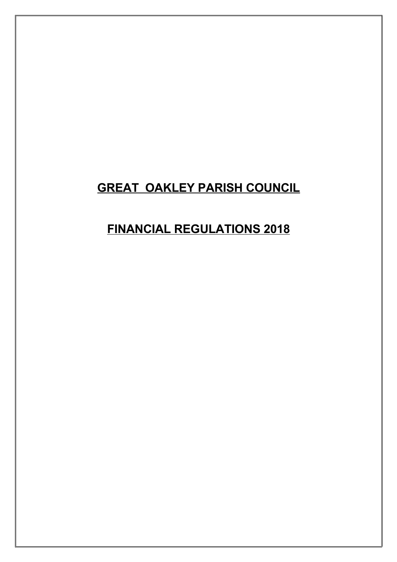# **GREAT OAKLEY PARISH COUNCIL**

# **FINANCIAL REGULATIONS 2018**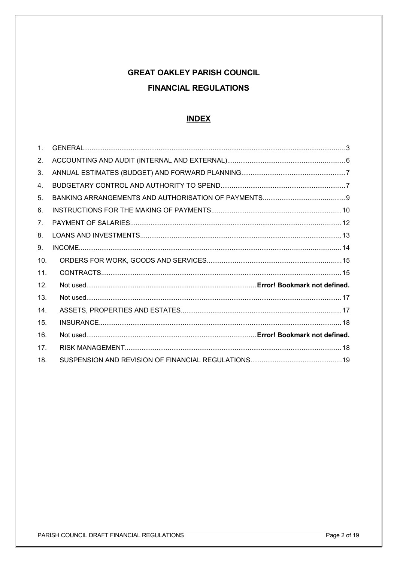# **GREAT OAKLEY PARISH COUNCIL FINANCIAL REGULATIONS**

#### <span id="page-1-1"></span><span id="page-1-0"></span>**INDEX**

| $\mathbf{1}$ .  |  |
|-----------------|--|
| 2.              |  |
| 3.              |  |
| 4.              |  |
| 5.              |  |
| 6.              |  |
| 7 <sub>1</sub>  |  |
| 8.              |  |
| 9.              |  |
| 10.             |  |
| 11.             |  |
| 12.             |  |
| 13.             |  |
| 14.             |  |
| 15.             |  |
| 16.             |  |
| 17 <sub>1</sub> |  |
| 18.             |  |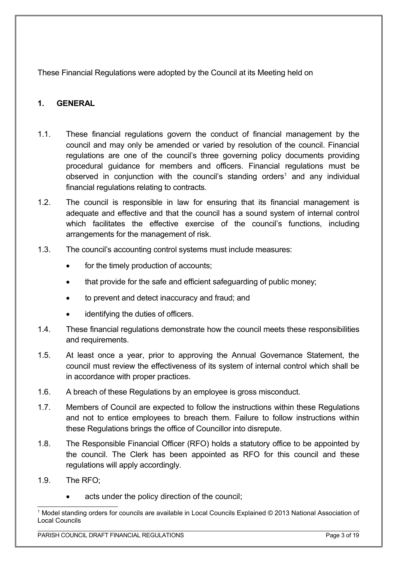These Financial Regulations were adopted by the Council at its Meeting held on

# <span id="page-2-0"></span>**1. GENERAL**

- 1.1. These financial regulations govern the conduct of financial management by the council and may only be amended or varied by resolution of the council. Financial regulations are one of the council's three governing policy documents providing procedural guidance for members and officers. Financial regulations must be observed in conjunction with the council's standing orders<sup>[1](#page-2-1)</sup> and any individual financial regulations relating to contracts.
- 1.2. The council is responsible in law for ensuring that its financial management is adequate and effective and that the council has a sound system of internal control which facilitates the effective exercise of the council's functions, including arrangements for the management of risk.
- 1.3. The council's accounting control systems must include measures:
	- for the timely production of accounts;
	- that provide for the safe and efficient safeguarding of public money;
	- to prevent and detect inaccuracy and fraud; and
	- identifying the duties of officers.
- 1.4. These financial regulations demonstrate how the council meets these responsibilities and requirements.
- 1.5. At least once a year, prior to approving the Annual Governance Statement, the council must review the effectiveness of its system of internal control which shall be in accordance with proper practices.
- 1.6. A breach of these Regulations by an employee is gross misconduct.
- 1.7. Members of Council are expected to follow the instructions within these Regulations and not to entice employees to breach them. Failure to follow instructions within these Regulations brings the office of Councillor into disrepute.
- 1.8. The Responsible Financial Officer (RFO) holds a statutory office to be appointed by the council. The Clerk has been appointed as RFO for this council and these regulations will apply accordingly.
- 1.9. The RFO;
	- acts under the policy direction of the council;

<span id="page-2-1"></span><sup>1</sup> Model standing orders for councils are available in Local Councils Explained © 2013 National Association of Local Councils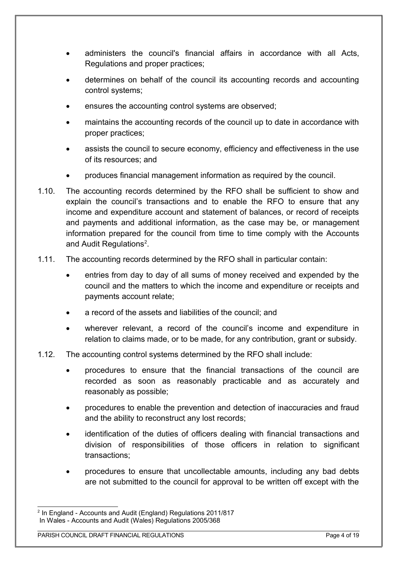- administers the council's financial affairs in accordance with all Acts, Regulations and proper practices;
- determines on behalf of the council its accounting records and accounting control systems;
- ensures the accounting control systems are observed;
- maintains the accounting records of the council up to date in accordance with proper practices;
- assists the council to secure economy, efficiency and effectiveness in the use of its resources; and
- produces financial management information as required by the council.
- 1.10. The accounting records determined by the RFO shall be sufficient to show and explain the council's transactions and to enable the RFO to ensure that any income and expenditure account and statement of balances, or record of receipts and payments and additional information, as the case may be, or management information prepared for the council from time to time comply with the Accounts and Audit Regulations<sup>[2](#page-3-0)</sup>.
- 1.11. The accounting records determined by the RFO shall in particular contain:
	- entries from day to day of all sums of money received and expended by the council and the matters to which the income and expenditure or receipts and payments account relate;
	- a record of the assets and liabilities of the council; and
	- wherever relevant, a record of the council's income and expenditure in relation to claims made, or to be made, for any contribution, grant or subsidy.
- 1.12. The accounting control systems determined by the RFO shall include:
	- procedures to ensure that the financial transactions of the council are recorded as soon as reasonably practicable and as accurately and reasonably as possible;
	- procedures to enable the prevention and detection of inaccuracies and fraud and the ability to reconstruct any lost records;
	- identification of the duties of officers dealing with financial transactions and division of responsibilities of those officers in relation to significant transactions;
	- procedures to ensure that uncollectable amounts, including any bad debts are not submitted to the council for approval to be written off except with the

<span id="page-3-0"></span><sup>2</sup> In England - Accounts and Audit (England) Regulations 2011/817 In Wales - Accounts and Audit (Wales) Regulations 2005/368

PARISH COUNCIL DRAFT FINANCIAL REGULATIONS **PARISH COUNCIL PROTECTIVE COUNCIL** PAGE 4 of 19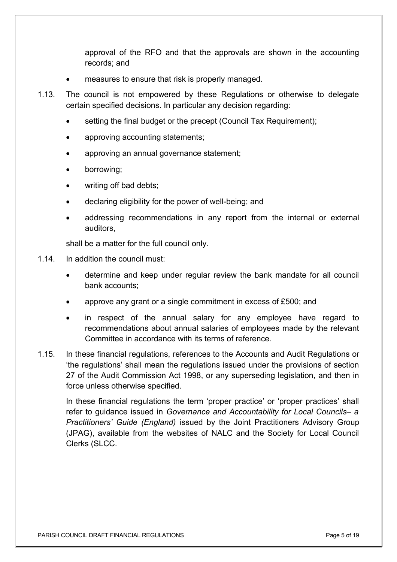approval of the RFO and that the approvals are shown in the accounting records; and

- measures to ensure that risk is properly managed.
- 1.13. The council is not empowered by these Regulations or otherwise to delegate certain specified decisions. In particular any decision regarding:
	- setting the final budget or the precept (Council Tax Requirement);
	- approving accounting statements;
	- approving an annual governance statement;
	- borrowing;
	- writing off bad debts;
	- declaring eligibility for the power of well-being; and
	- addressing recommendations in any report from the internal or external auditors,

shall be a matter for the full council only.

- 1.14. In addition the council must:
	- determine and keep under regular review the bank mandate for all council bank accounts;
	- approve any grant or a single commitment in excess of £500; and
	- in respect of the annual salary for any employee have regard to recommendations about annual salaries of employees made by the relevant Committee in accordance with its terms of reference.
- 1.15. In these financial regulations, references to the Accounts and Audit Regulations or 'the regulations' shall mean the regulations issued under the provisions of section 27 of the Audit Commission Act 1998, or any superseding legislation, and then in force unless otherwise specified.

In these financial regulations the term 'proper practice' or 'proper practices' shall refer to guidance issued in *Governance and Accountability for Local Councils– a Practitioners' Guide (England)* issued by the Joint Practitioners Advisory Group (JPAG), available from the websites of NALC and the Society for Local Council Clerks (SLCC.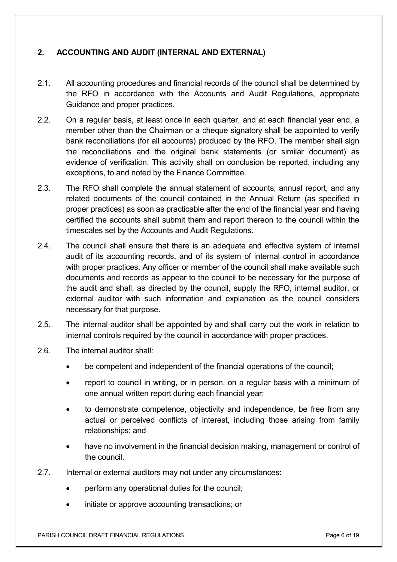# <span id="page-5-0"></span>**2. ACCOUNTING AND AUDIT (INTERNAL AND EXTERNAL)**

- 2.1. All accounting procedures and financial records of the council shall be determined by the RFO in accordance with the Accounts and Audit Regulations, appropriate Guidance and proper practices.
- 2.2. On a regular basis, at least once in each quarter, and at each financial year end, a member other than the Chairman or a cheque signatory shall be appointed to verify bank reconciliations (for all accounts) produced by the RFO. The member shall sign the reconciliations and the original bank statements (or similar document) as evidence of verification. This activity shall on conclusion be reported, including any exceptions, to and noted by the Finance Committee.
- 2.3. The RFO shall complete the annual statement of accounts, annual report, and any related documents of the council contained in the Annual Return (as specified in proper practices) as soon as practicable after the end of the financial year and having certified the accounts shall submit them and report thereon to the council within the timescales set by the Accounts and Audit Regulations.
- 2.4. The council shall ensure that there is an adequate and effective system of internal audit of its accounting records, and of its system of internal control in accordance with proper practices. Any officer or member of the council shall make available such documents and records as appear to the council to be necessary for the purpose of the audit and shall, as directed by the council, supply the RFO, internal auditor, or external auditor with such information and explanation as the council considers necessary for that purpose.
- 2.5. The internal auditor shall be appointed by and shall carry out the work in relation to internal controls required by the council in accordance with proper practices.
- 2.6. The internal auditor shall:
	- be competent and independent of the financial operations of the council;
	- report to council in writing, or in person, on a regular basis with a minimum of one annual written report during each financial year;
	- to demonstrate competence, objectivity and independence, be free from any actual or perceived conflicts of interest, including those arising from family relationships; and
	- have no involvement in the financial decision making, management or control of the council.
- 2.7. Internal or external auditors may not under any circumstances:
	- perform any operational duties for the council;
	- initiate or approve accounting transactions; or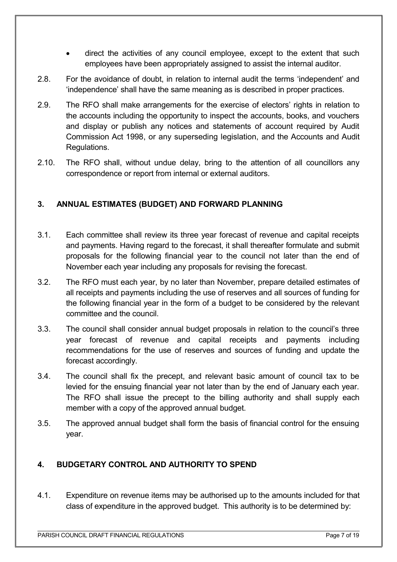- direct the activities of any council employee, except to the extent that such employees have been appropriately assigned to assist the internal auditor.
- 2.8. For the avoidance of doubt, in relation to internal audit the terms 'independent' and 'independence' shall have the same meaning as is described in proper practices.
- 2.9. The RFO shall make arrangements for the exercise of electors' rights in relation to the accounts including the opportunity to inspect the accounts, books, and vouchers and display or publish any notices and statements of account required by Audit Commission Act 1998, or any superseding legislation, and the Accounts and Audit Regulations.
- 2.10. The RFO shall, without undue delay, bring to the attention of all councillors any correspondence or report from internal or external auditors.

# <span id="page-6-1"></span>**3. ANNUAL ESTIMATES (BUDGET) AND FORWARD PLANNING**

- 3.1. Each committee shall review its three year forecast of revenue and capital receipts and payments. Having regard to the forecast, it shall thereafter formulate and submit proposals for the following financial year to the council not later than the end of November each year including any proposals for revising the forecast.
- 3.2. The RFO must each year, by no later than November, prepare detailed estimates of all receipts and payments including the use of reserves and all sources of funding for the following financial year in the form of a budget to be considered by the relevant committee and the council.
- 3.3. The council shall consider annual budget proposals in relation to the council's three year forecast of revenue and capital receipts and payments including recommendations for the use of reserves and sources of funding and update the forecast accordingly.
- 3.4. The council shall fix the precept, and relevant basic amount of council tax to be levied for the ensuing financial year not later than by the end of January each year. The RFO shall issue the precept to the billing authority and shall supply each member with a copy of the approved annual budget.
- 3.5. The approved annual budget shall form the basis of financial control for the ensuing year.

# <span id="page-6-0"></span>**4. BUDGETARY CONTROL AND AUTHORITY TO SPEND**

4.1. Expenditure on revenue items may be authorised up to the amounts included for that class of expenditure in the approved budget. This authority is to be determined by: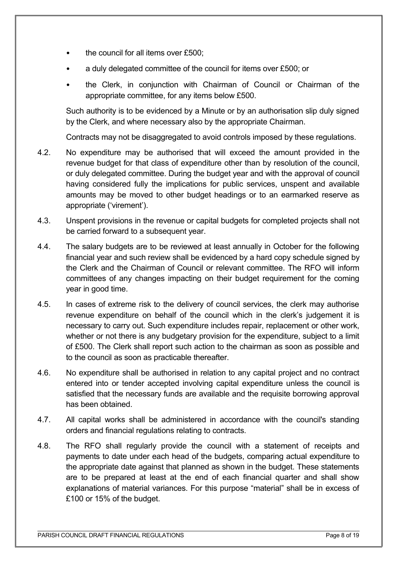- the council for all items over £500;
- a duly delegated committee of the council for items over £500; or
- the Clerk, in conjunction with Chairman of Council or Chairman of the appropriate committee, for any items below £500.

Such authority is to be evidenced by a Minute or by an authorisation slip duly signed by the Clerk, and where necessary also by the appropriate Chairman.

Contracts may not be disaggregated to avoid controls imposed by these regulations.

- 4.2. No expenditure may be authorised that will exceed the amount provided in the revenue budget for that class of expenditure other than by resolution of the council, or duly delegated committee. During the budget year and with the approval of council having considered fully the implications for public services, unspent and available amounts may be moved to other budget headings or to an earmarked reserve as appropriate ('virement').
- 4.3. Unspent provisions in the revenue or capital budgets for completed projects shall not be carried forward to a subsequent year.
- 4.4. The salary budgets are to be reviewed at least annually in October for the following financial year and such review shall be evidenced by a hard copy schedule signed by the Clerk and the Chairman of Council or relevant committee. The RFO will inform committees of any changes impacting on their budget requirement for the coming year in good time.
- 4.5. In cases of extreme risk to the delivery of council services, the clerk may authorise revenue expenditure on behalf of the council which in the clerk's judgement it is necessary to carry out. Such expenditure includes repair, replacement or other work, whether or not there is any budgetary provision for the expenditure, subject to a limit of £500. The Clerk shall report such action to the chairman as soon as possible and to the council as soon as practicable thereafter.
- 4.6. No expenditure shall be authorised in relation to any capital project and no contract entered into or tender accepted involving capital expenditure unless the council is satisfied that the necessary funds are available and the requisite borrowing approval has been obtained.
- 4.7. All capital works shall be administered in accordance with the council's standing orders and financial regulations relating to contracts.
- 4.8. The RFO shall regularly provide the council with a statement of receipts and payments to date under each head of the budgets, comparing actual expenditure to the appropriate date against that planned as shown in the budget. These statements are to be prepared at least at the end of each financial quarter and shall show explanations of material variances. For this purpose "material" shall be in excess of £100 or 15% of the budget.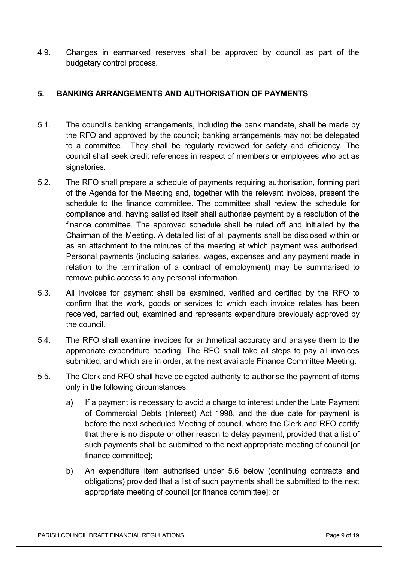4.9. Changes in earmarked reserves shall be approved by council as part of the budgetary control process.

# <span id="page-8-0"></span>**5. BANKING ARRANGEMENTS AND AUTHORISATION OF PAYMENTS**

- 5.1. The council's banking arrangements, including the bank mandate, shall be made by the RFO and approved by the council; banking arrangements may not be delegated to a committee. They shall be regularly reviewed for safety and efficiency. The council shall seek credit references in respect of members or employees who act as signatories.
- 5.2. The RFO shall prepare a schedule of payments requiring authorisation, forming part of the Agenda for the Meeting and, together with the relevant invoices, present the schedule to the finance committee. The committee shall review the schedule for compliance and, having satisfied itself shall authorise payment by a resolution of the finance committee. The approved schedule shall be ruled off and initialled by the Chairman of the Meeting. A detailed list of all payments shall be disclosed within or as an attachment to the minutes of the meeting at which payment was authorised. Personal payments (including salaries, wages, expenses and any payment made in relation to the termination of a contract of employment) may be summarised to remove public access to any personal information.
- 5.3. All invoices for payment shall be examined, verified and certified by the RFO to confirm that the work, goods or services to which each invoice relates has been received, carried out, examined and represents expenditure previously approved by the council.
- 5.4. The RFO shall examine invoices for arithmetical accuracy and analyse them to the appropriate expenditure heading. The RFO shall take all steps to pay all invoices submitted, and which are in order, at the next available Finance Committee Meeting.
- 5.5. The Clerk and RFO shall have delegated authority to authorise the payment of items only in the following circumstances:
	- a) If a payment is necessary to avoid a charge to interest under the Late Payment of Commercial Debts (Interest) Act 1998, and the due date for payment is before the next scheduled Meeting of council, where the Clerk and RFO certify that there is no dispute or other reason to delay payment, provided that a list of such payments shall be submitted to the next appropriate meeting of council [or finance committee];
	- b) An expenditure item authorised under 5.6 below (continuing contracts and obligations) provided that a list of such payments shall be submitted to the next appropriate meeting of council [or finance committee]; or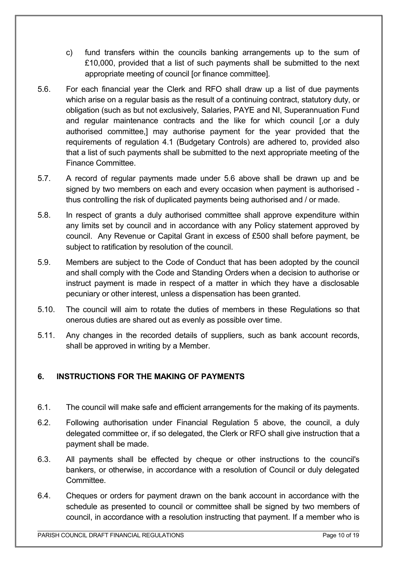- c) fund transfers within the councils banking arrangements up to the sum of £10,000, provided that a list of such payments shall be submitted to the next appropriate meeting of council [or finance committee].
- 5.6. For each financial year the Clerk and RFO shall draw up a list of due payments which arise on a regular basis as the result of a continuing contract, statutory duty, or obligation (such as but not exclusively, Salaries, PAYE and NI, Superannuation Fund and regular maintenance contracts and the like for which council [,or a duly authorised committee,] may authorise payment for the year provided that the requirements of regulation 4.1 (Budgetary Controls) are adhered to, provided also that a list of such payments shall be submitted to the next appropriate meeting of the Finance Committee.
- 5.7. A record of regular payments made under 5.6 above shall be drawn up and be signed by two members on each and every occasion when payment is authorised thus controlling the risk of duplicated payments being authorised and / or made.
- 5.8. In respect of grants a duly authorised committee shall approve expenditure within any limits set by council and in accordance with any Policy statement approved by council. Any Revenue or Capital Grant in excess of £500 shall before payment, be subject to ratification by resolution of the council.
- 5.9. Members are subject to the Code of Conduct that has been adopted by the council and shall comply with the Code and Standing Orders when a decision to authorise or instruct payment is made in respect of a matter in which they have a disclosable pecuniary or other interest, unless a dispensation has been granted.
- 5.10. The council will aim to rotate the duties of members in these Regulations so that onerous duties are shared out as evenly as possible over time.
- 5.11. Any changes in the recorded details of suppliers, such as bank account records, shall be approved in writing by a Member.

# <span id="page-9-0"></span>**6. INSTRUCTIONS FOR THE MAKING OF PAYMENTS**

- 6.1. The council will make safe and efficient arrangements for the making of its payments.
- 6.2. Following authorisation under Financial Regulation 5 above, the council, a duly delegated committee or, if so delegated, the Clerk or RFO shall give instruction that a payment shall be made.
- 6.3. All payments shall be effected by cheque or other instructions to the council's bankers, or otherwise, in accordance with a resolution of Council or duly delegated Committee.
- 6.4. Cheques or orders for payment drawn on the bank account in accordance with the schedule as presented to council or committee shall be signed by two members of council, in accordance with a resolution instructing that payment. If a member who is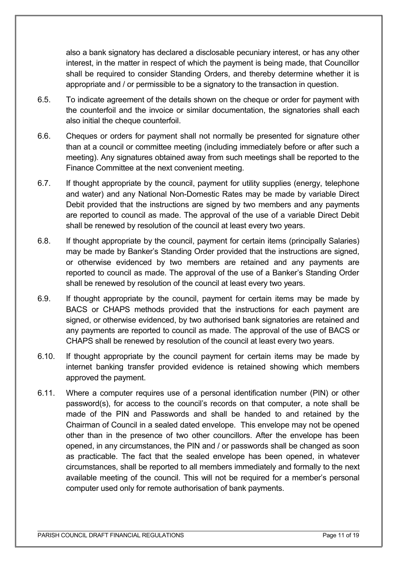also a bank signatory has declared a disclosable pecuniary interest, or has any other interest, in the matter in respect of which the payment is being made, that Councillor shall be required to consider Standing Orders, and thereby determine whether it is appropriate and / or permissible to be a signatory to the transaction in question.

- 6.5. To indicate agreement of the details shown on the cheque or order for payment with the counterfoil and the invoice or similar documentation, the signatories shall each also initial the cheque counterfoil.
- 6.6. Cheques or orders for payment shall not normally be presented for signature other than at a council or committee meeting (including immediately before or after such a meeting). Any signatures obtained away from such meetings shall be reported to the Finance Committee at the next convenient meeting.
- 6.7. If thought appropriate by the council, payment for utility supplies (energy, telephone and water) and any National Non-Domestic Rates may be made by variable Direct Debit provided that the instructions are signed by two members and any payments are reported to council as made. The approval of the use of a variable Direct Debit shall be renewed by resolution of the council at least every two years.
- 6.8. If thought appropriate by the council, payment for certain items (principally Salaries) may be made by Banker's Standing Order provided that the instructions are signed, or otherwise evidenced by two members are retained and any payments are reported to council as made. The approval of the use of a Banker's Standing Order shall be renewed by resolution of the council at least every two years.
- 6.9. If thought appropriate by the council, payment for certain items may be made by BACS or CHAPS methods provided that the instructions for each payment are signed, or otherwise evidenced, by two authorised bank signatories are retained and any payments are reported to council as made. The approval of the use of BACS or CHAPS shall be renewed by resolution of the council at least every two years.
- 6.10. If thought appropriate by the council payment for certain items may be made by internet banking transfer provided evidence is retained showing which members approved the payment.
- 6.11. Where a computer requires use of a personal identification number (PIN) or other password(s), for access to the council's records on that computer, a note shall be made of the PIN and Passwords and shall be handed to and retained by the Chairman of Council in a sealed dated envelope. This envelope may not be opened other than in the presence of two other councillors. After the envelope has been opened, in any circumstances, the PIN and / or passwords shall be changed as soon as practicable. The fact that the sealed envelope has been opened, in whatever circumstances, shall be reported to all members immediately and formally to the next available meeting of the council. This will not be required for a member's personal computer used only for remote authorisation of bank payments.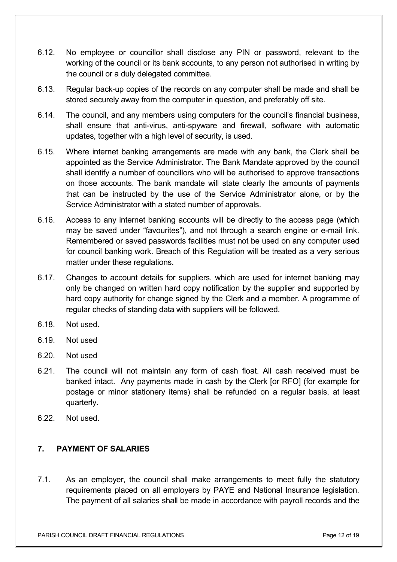- 6.12. No employee or councillor shall disclose any PIN or password, relevant to the working of the council or its bank accounts, to any person not authorised in writing by the council or a duly delegated committee.
- 6.13. Regular back-up copies of the records on any computer shall be made and shall be stored securely away from the computer in question, and preferably off site.
- 6.14. The council, and any members using computers for the council's financial business, shall ensure that anti-virus, anti-spyware and firewall, software with automatic updates, together with a high level of security, is used.
- 6.15. Where internet banking arrangements are made with any bank, the Clerk shall be appointed as the Service Administrator. The Bank Mandate approved by the council shall identify a number of councillors who will be authorised to approve transactions on those accounts. The bank mandate will state clearly the amounts of payments that can be instructed by the use of the Service Administrator alone, or by the Service Administrator with a stated number of approvals.
- 6.16. Access to any internet banking accounts will be directly to the access page (which may be saved under "favourites"), and not through a search engine or e-mail link. Remembered or saved passwords facilities must not be used on any computer used for council banking work. Breach of this Regulation will be treated as a very serious matter under these regulations.
- 6.17. Changes to account details for suppliers, which are used for internet banking may only be changed on written hard copy notification by the supplier and supported by hard copy authority for change signed by the Clerk and a member. A programme of regular checks of standing data with suppliers will be followed.
- 6.18. Not used.
- 6.19. Not used
- 6.20. Not used
- 6.21. The council will not maintain any form of cash float. All cash received must be banked intact. Any payments made in cash by the Clerk [or RFO] (for example for postage or minor stationery items) shall be refunded on a regular basis, at least quarterly.
- 6.22. Not used.

# <span id="page-11-0"></span>**7. PAYMENT OF SALARIES**

7.1. As an employer, the council shall make arrangements to meet fully the statutory requirements placed on all employers by PAYE and National Insurance legislation. The payment of all salaries shall be made in accordance with payroll records and the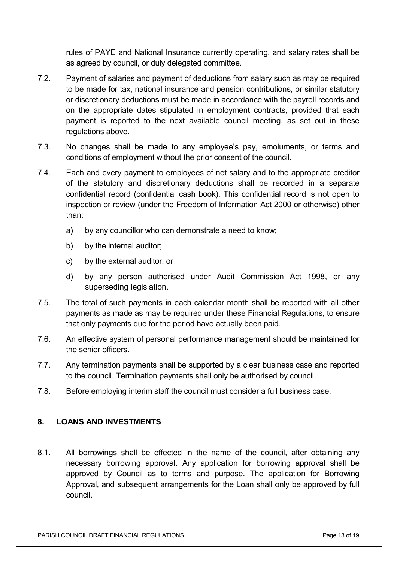rules of PAYE and National Insurance currently operating, and salary rates shall be as agreed by council, or duly delegated committee.

- 7.2. Payment of salaries and payment of deductions from salary such as may be required to be made for tax, national insurance and pension contributions, or similar statutory or discretionary deductions must be made in accordance with the payroll records and on the appropriate dates stipulated in employment contracts, provided that each payment is reported to the next available council meeting, as set out in these regulations above.
- 7.3. No changes shall be made to any employee's pay, emoluments, or terms and conditions of employment without the prior consent of the council.
- 7.4. Each and every payment to employees of net salary and to the appropriate creditor of the statutory and discretionary deductions shall be recorded in a separate confidential record (confidential cash book). This confidential record is not open to inspection or review (under the Freedom of Information Act 2000 or otherwise) other than:
	- a) by any councillor who can demonstrate a need to know;
	- b) by the internal auditor;
	- c) by the external auditor; or
	- d) by any person authorised under Audit Commission Act 1998, or any superseding legislation.
- 7.5. The total of such payments in each calendar month shall be reported with all other payments as made as may be required under these Financial Regulations, to ensure that only payments due for the period have actually been paid.
- 7.6. An effective system of personal performance management should be maintained for the senior officers.
- 7.7. Any termination payments shall be supported by a clear business case and reported to the council. Termination payments shall only be authorised by council.
- 7.8. Before employing interim staff the council must consider a full business case.

### <span id="page-12-0"></span>**8. LOANS AND INVESTMENTS**

8.1. All borrowings shall be effected in the name of the council, after obtaining any necessary borrowing approval. Any application for borrowing approval shall be approved by Council as to terms and purpose. The application for Borrowing Approval, and subsequent arrangements for the Loan shall only be approved by full council.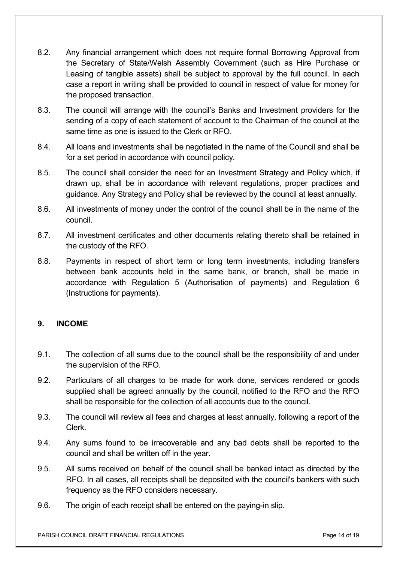- 8.2. Any financial arrangement which does not require formal Borrowing Approval from the Secretary of State/Welsh Assembly Government (such as Hire Purchase or Leasing of tangible assets) shall be subject to approval by the full council. In each case a report in writing shall be provided to council in respect of value for money for the proposed transaction.
- 8.3. The council will arrange with the council's Banks and Investment providers for the sending of a copy of each statement of account to the Chairman of the council at the same time as one is issued to the Clerk or RFO.
- 8.4. All loans and investments shall be negotiated in the name of the Council and shall be for a set period in accordance with council policy.
- 8.5. The council shall consider the need for an Investment Strategy and Policy which, if drawn up, shall be in accordance with relevant regulations, proper practices and guidance. Any Strategy and Policy shall be reviewed by the council at least annually.
- 8.6. All investments of money under the control of the council shall be in the name of the council.
- 8.7. All investment certificates and other documents relating thereto shall be retained in the custody of the RFO.
- 8.8. Payments in respect of short term or long term investments, including transfers between bank accounts held in the same bank, or branch, shall be made in accordance with Regulation 5 (Authorisation of payments) and Regulation 6 (Instructions for payments).

### <span id="page-13-0"></span>**9. INCOME**

- 9.1. The collection of all sums due to the council shall be the responsibility of and under the supervision of the RFO.
- 9.2. Particulars of all charges to be made for work done, services rendered or goods supplied shall be agreed annually by the council, notified to the RFO and the RFO shall be responsible for the collection of all accounts due to the council.
- 9.3. The council will review all fees and charges at least annually, following a report of the Clerk.
- 9.4. Any sums found to be irrecoverable and any bad debts shall be reported to the council and shall be written off in the year.
- 9.5. All sums received on behalf of the council shall be banked intact as directed by the RFO. In all cases, all receipts shall be deposited with the council's bankers with such frequency as the RFO considers necessary.
- 9.6. The origin of each receipt shall be entered on the paying-in slip.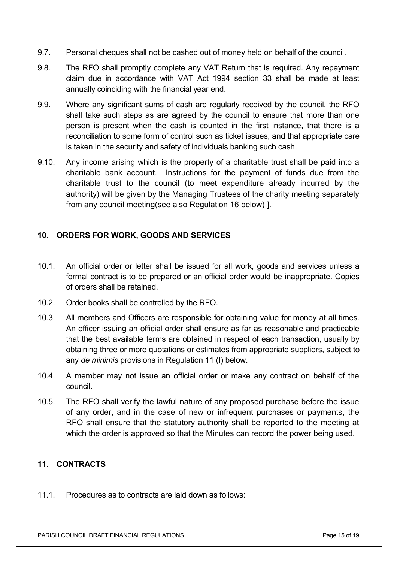- 9.7. Personal cheques shall not be cashed out of money held on behalf of the council.
- 9.8. The RFO shall promptly complete any VAT Return that is required. Any repayment claim due in accordance with VAT Act 1994 section 33 shall be made at least annually coinciding with the financial year end.
- 9.9. Where any significant sums of cash are regularly received by the council, the RFO shall take such steps as are agreed by the council to ensure that more than one person is present when the cash is counted in the first instance, that there is a reconciliation to some form of control such as ticket issues, and that appropriate care is taken in the security and safety of individuals banking such cash.
- 9.10. Any income arising which is the property of a charitable trust shall be paid into a charitable bank account. Instructions for the payment of funds due from the charitable trust to the council (to meet expenditure already incurred by the authority) will be given by the Managing Trustees of the charity meeting separately from any council meeting(see also Regulation 16 below) ].

# <span id="page-14-1"></span>**10. ORDERS FOR WORK, GOODS AND SERVICES**

- 10.1. An official order or letter shall be issued for all work, goods and services unless a formal contract is to be prepared or an official order would be inappropriate. Copies of orders shall be retained.
- 10.2. Order books shall be controlled by the RFO.
- 10.3. All members and Officers are responsible for obtaining value for money at all times. An officer issuing an official order shall ensure as far as reasonable and practicable that the best available terms are obtained in respect of each transaction, usually by obtaining three or more quotations or estimates from appropriate suppliers, subject to any *de minimis* provisions in Regulation 11 (I) below.
- 10.4. A member may not issue an official order or make any contract on behalf of the council.
- 10.5. The RFO shall verify the lawful nature of any proposed purchase before the issue of any order, and in the case of new or infrequent purchases or payments, the RFO shall ensure that the statutory authority shall be reported to the meeting at which the order is approved so that the Minutes can record the power being used.

# <span id="page-14-0"></span>**11. CONTRACTS**

11.1. Procedures as to contracts are laid down as follows: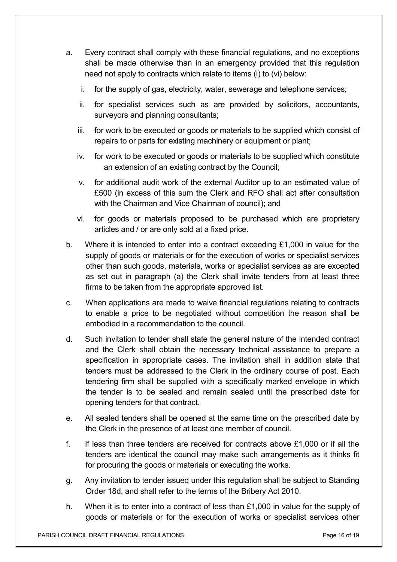- a. Every contract shall comply with these financial regulations, and no exceptions shall be made otherwise than in an emergency provided that this regulation need not apply to contracts which relate to items (i) to (vi) below:
	- i. for the supply of gas, electricity, water, sewerage and telephone services;
	- ii. for specialist services such as are provided by solicitors, accountants, surveyors and planning consultants;
	- iii. for work to be executed or goods or materials to be supplied which consist of repairs to or parts for existing machinery or equipment or plant;
	- iv. for work to be executed or goods or materials to be supplied which constitute an extension of an existing contract by the Council;
	- v. for additional audit work of the external Auditor up to an estimated value of £500 (in excess of this sum the Clerk and RFO shall act after consultation with the Chairman and Vice Chairman of council); and
	- vi. for goods or materials proposed to be purchased which are proprietary articles and / or are only sold at a fixed price.
- b. Where it is intended to enter into a contract exceeding  $£1,000$  in value for the supply of goods or materials or for the execution of works or specialist services other than such goods, materials, works or specialist services as are excepted as set out in paragraph (a) the Clerk shall invite tenders from at least three firms to be taken from the appropriate approved list.
- c. When applications are made to waive financial regulations relating to contracts to enable a price to be negotiated without competition the reason shall be embodied in a recommendation to the council.
- d. Such invitation to tender shall state the general nature of the intended contract and the Clerk shall obtain the necessary technical assistance to prepare a specification in appropriate cases. The invitation shall in addition state that tenders must be addressed to the Clerk in the ordinary course of post. Each tendering firm shall be supplied with a specifically marked envelope in which the tender is to be sealed and remain sealed until the prescribed date for opening tenders for that contract.
- e. All sealed tenders shall be opened at the same time on the prescribed date by the Clerk in the presence of at least one member of council.
- f. If less than three tenders are received for contracts above £1,000 or if all the tenders are identical the council may make such arrangements as it thinks fit for procuring the goods or materials or executing the works.
- g. Any invitation to tender issued under this regulation shall be subject to Standing Order 18d, and shall refer to the terms of the Bribery Act 2010.
- h. When it is to enter into a contract of less than £1,000 in value for the supply of goods or materials or for the execution of works or specialist services other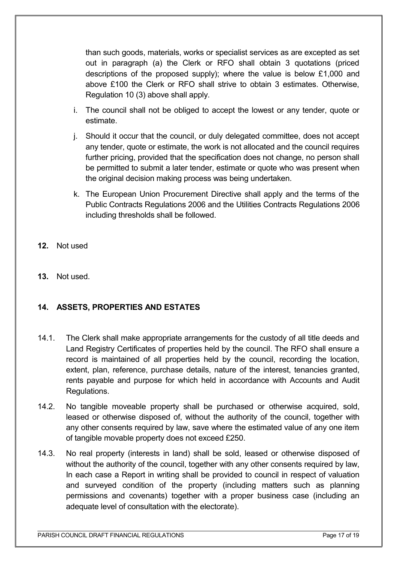than such goods, materials, works or specialist services as are excepted as set out in paragraph (a) the Clerk or RFO shall obtain 3 quotations (priced descriptions of the proposed supply); where the value is below £1,000 and above £100 the Clerk or RFO shall strive to obtain 3 estimates. Otherwise, Regulation 10 (3) above shall apply.

- i. The council shall not be obliged to accept the lowest or any tender, quote or estimate.
- j. Should it occur that the council, or duly delegated committee, does not accept any tender, quote or estimate, the work is not allocated and the council requires further pricing, provided that the specification does not change, no person shall be permitted to submit a later tender, estimate or quote who was present when the original decision making process was being undertaken.
- k. The European Union Procurement Directive shall apply and the terms of the Public Contracts Regulations 2006 and the Utilities Contracts Regulations 2006 including thresholds shall be followed.
- **12.** Not used
- <span id="page-16-1"></span>**13.** Not used.

### <span id="page-16-0"></span>**14. ASSETS, PROPERTIES AND ESTATES**

- 14.1. The Clerk shall make appropriate arrangements for the custody of all title deeds and Land Registry Certificates of properties held by the council. The RFO shall ensure a record is maintained of all properties held by the council, recording the location, extent, plan, reference, purchase details, nature of the interest, tenancies granted, rents payable and purpose for which held in accordance with Accounts and Audit Regulations.
- 14.2. No tangible moveable property shall be purchased or otherwise acquired, sold, leased or otherwise disposed of, without the authority of the council, together with any other consents required by law, save where the estimated value of any one item of tangible movable property does not exceed £250.
- 14.3. No real property (interests in land) shall be sold, leased or otherwise disposed of without the authority of the council, together with any other consents required by law, In each case a Report in writing shall be provided to council in respect of valuation and surveyed condition of the property (including matters such as planning permissions and covenants) together with a proper business case (including an adequate level of consultation with the electorate).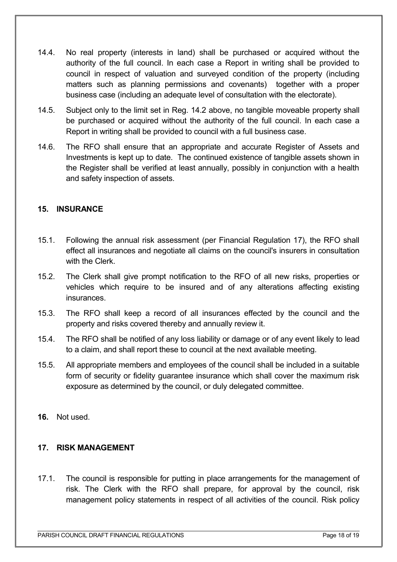- 14.4. No real property (interests in land) shall be purchased or acquired without the authority of the full council. In each case a Report in writing shall be provided to council in respect of valuation and surveyed condition of the property (including matters such as planning permissions and covenants) together with a proper business case (including an adequate level of consultation with the electorate).
- 14.5. Subject only to the limit set in Reg. 14.2 above, no tangible moveable property shall be purchased or acquired without the authority of the full council. In each case a Report in writing shall be provided to council with a full business case.
- 14.6. The RFO shall ensure that an appropriate and accurate Register of Assets and Investments is kept up to date. The continued existence of tangible assets shown in the Register shall be verified at least annually, possibly in conjunction with a health and safety inspection of assets.

### <span id="page-17-1"></span>**15. INSURANCE**

- 15.1. Following the annual risk assessment (per Financial Regulation 17), the RFO shall effect all insurances and negotiate all claims on the council's insurers in consultation with the Clerk
- 15.2. The Clerk shall give prompt notification to the RFO of all new risks, properties or vehicles which require to be insured and of any alterations affecting existing insurances.
- 15.3. The RFO shall keep a record of all insurances effected by the council and the property and risks covered thereby and annually review it.
- 15.4. The RFO shall be notified of any loss liability or damage or of any event likely to lead to a claim, and shall report these to council at the next available meeting.
- 15.5. All appropriate members and employees of the council shall be included in a suitable form of security or fidelity guarantee insurance which shall cover the maximum risk exposure as determined by the council, or duly delegated committee.
- **16.** Not used.

#### <span id="page-17-0"></span>**17. RISK MANAGEMENT**

17.1. The council is responsible for putting in place arrangements for the management of risk. The Clerk with the RFO shall prepare, for approval by the council, risk management policy statements in respect of all activities of the council. Risk policy